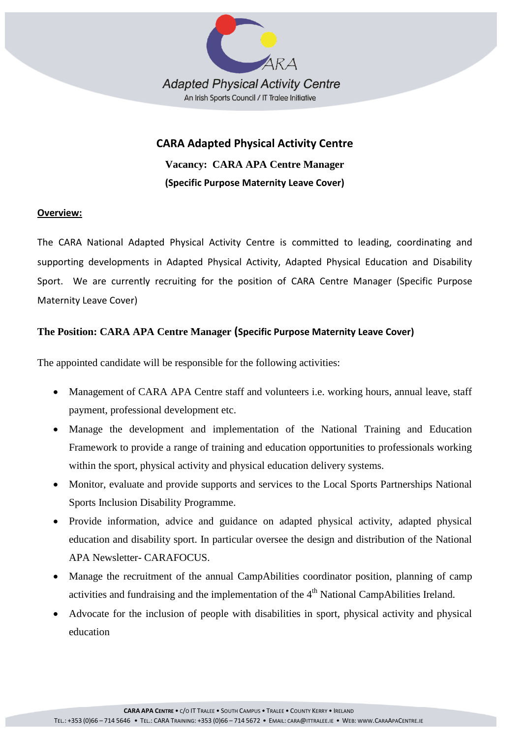

# **CARA Adapted Physical Activity Centre**

**Vacancy: CARA APA Centre Manager (Specific Purpose Maternity Leave Cover)**

### **Overview:**

The CARA National Adapted Physical Activity Centre is committed to leading, coordinating and supporting developments in Adapted Physical Activity, Adapted Physical Education and Disability Sport. We are currently recruiting for the position of CARA Centre Manager (Specific Purpose Maternity Leave Cover)

## **The Position: CARA APA Centre Manager (Specific Purpose Maternity Leave Cover)**

The appointed candidate will be responsible for the following activities:

- Management of CARA APA Centre staff and volunteers i.e. working hours, annual leave, staff payment, professional development etc.
- Manage the development and implementation of the National Training and Education Framework to provide a range of training and education opportunities to professionals working within the sport, physical activity and physical education delivery systems.
- Monitor, evaluate and provide supports and services to the Local Sports Partnerships National Sports Inclusion Disability Programme.
- Provide information, advice and guidance on adapted physical activity, adapted physical education and disability sport. In particular oversee the design and distribution of the National APA Newsletter- CARAFOCUS.
- Manage the recruitment of the annual CampAbilities coordinator position, planning of camp activities and fundraising and the implementation of the 4<sup>th</sup> National CampAbilities Ireland.
- Advocate for the inclusion of people with disabilities in sport, physical activity and physical education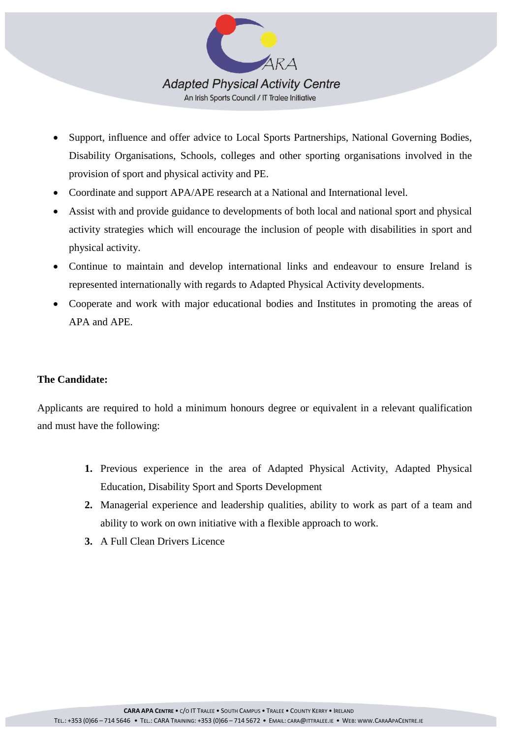

- Support, influence and offer advice to Local Sports Partnerships, National Governing Bodies, Disability Organisations, Schools, colleges and other sporting organisations involved in the provision of sport and physical activity and PE.
- Coordinate and support APA/APE research at a National and International level.
- Assist with and provide guidance to developments of both local and national sport and physical activity strategies which will encourage the inclusion of people with disabilities in sport and physical activity.
- Continue to maintain and develop international links and endeavour to ensure Ireland is represented internationally with regards to Adapted Physical Activity developments.
- Cooperate and work with major educational bodies and Institutes in promoting the areas of APA and APE.

### **The Candidate:**

Applicants are required to hold a minimum honours degree or equivalent in a relevant qualification and must have the following:

- **1.** Previous experience in the area of Adapted Physical Activity, Adapted Physical Education, Disability Sport and Sports Development
- **2.** Managerial experience and leadership qualities, ability to work as part of a team and ability to work on own initiative with a flexible approach to work.
- **3.** A Full Clean Drivers Licence